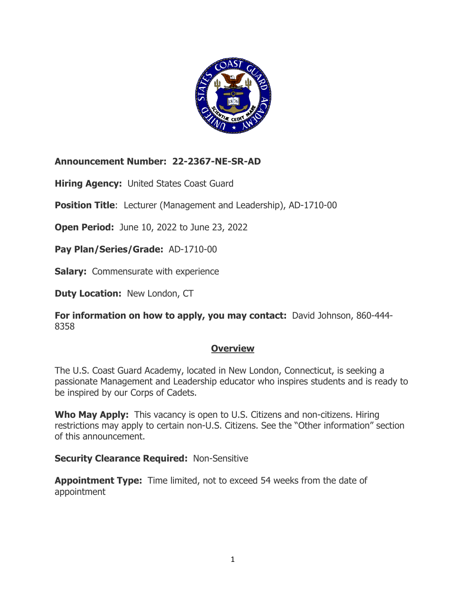

 **Announcement Number: 22-2367-NE-SR-AD** 

 **Hiring Agency:** United States Coast Guard

**Position Title**: Lecturer (Management and Leadership), AD-1710-00

 **Open Period:** June 10, 2022 to June 23, 2022

 **Pay Plan/Series/Grade:** AD-1710-00

**Salary:** Commensurate with experience

 **Duty Location:** New London, CT

 **For information on how to apply, you may contact:** David Johnson, 860-444- 8358

## **Overview**

 The U.S. Coast Guard Academy, located in New London, Connecticut, is seeking a passionate Management and Leadership educator who inspires students and is ready to be inspired by our Corps of Cadets.

 **Who May Apply:** This vacancy is open to U.S. Citizens and non-citizens. Hiring restrictions may apply to certain non-U.S. Citizens. See the "Other information" section of this announcement.

 **Security Clearance Required:** Non-Sensitive

 **Appointment Type:** Time limited, not to exceed 54 weeks from the date of appointment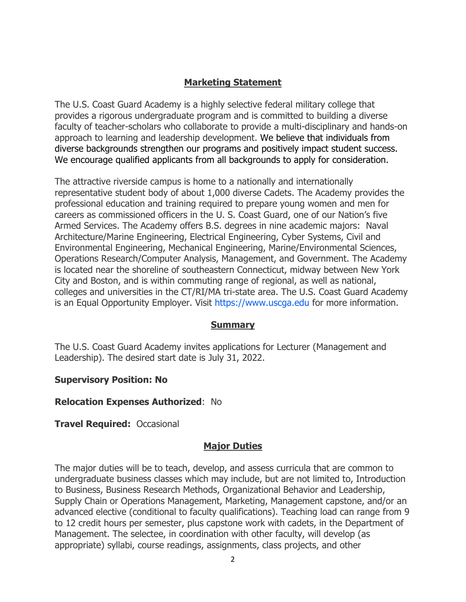### **Marketing Statement**

 The U.S. Coast Guard Academy is a highly selective federal military college that provides a rigorous undergraduate program and is committed to building a diverse faculty of teacher-scholars who collaborate to provide a multi-disciplinary and hands-on approach to learning and leadership development. We believe that individuals from diverse backgrounds strengthen our programs and positively impact student success. We encourage qualified applicants from all backgrounds to apply for consideration.

 The attractive riverside campus is home to a nationally and internationally representative student body of about 1,000 diverse Cadets. The Academy provides the professional education and training required to prepare young women and men for careers as commissioned officers in the U. S. Coast Guard, one of our Nation's five Armed Services. The Academy offers B.S. degrees in nine academic majors: Naval Architecture/Marine Engineering, Electrical Engineering, Cyber Systems, Civil and Environmental Engineering, Mechanical Engineering, Marine/Environmental Sciences, Operations Research/Computer Analysis, Management, and Government. The Academy is located near the shoreline of southeastern Connecticut, midway between New York City and Boston, and is within commuting range of regional, as well as national, colleges and universities in the CT/RI/MA tri-state area. The U.S. Coast Guard Academy is an Equal Opportunity Employer. Visit<https://www.uscga.edu>for more information.

#### **Summary**

 The U.S. Coast Guard Academy invites applications for Lecturer (Management and Leadership). The desired start date is July 31, 2022.

#### **Supervisory Position: No**

#### **Relocation Expenses Authorized**: No

#### **Travel Required:** Occasional

#### **Major Duties**

 The major duties will be to teach, develop, and assess curricula that are common to undergraduate business classes which may include, but are not limited to, Introduction to Business, Business Research Methods, Organizational Behavior and Leadership, Supply Chain or Operations Management, Marketing, Management capstone, and/or an advanced elective (conditional to faculty qualifications). Teaching load can range from 9 to 12 credit hours per semester, plus capstone work with cadets, in the Department of Management. The selectee, in coordination with other faculty, will develop (as appropriate) syllabi, course readings, assignments, class projects, and other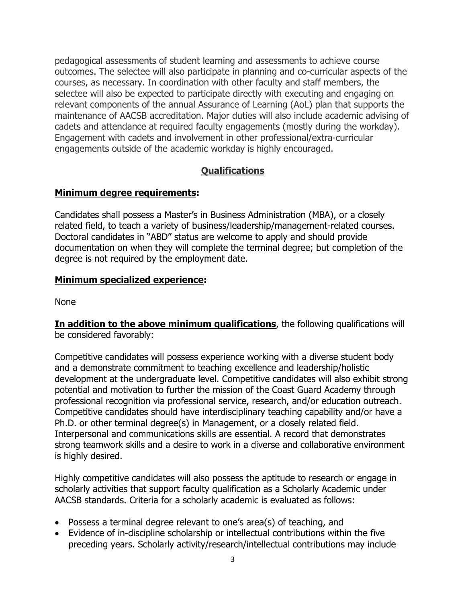pedagogical assessments of student learning and assessments to achieve course outcomes. The selectee will also participate in planning and co-curricular aspects of the courses, as necessary. In coordination with other faculty and staff members, the selectee will also be expected to participate directly with executing and engaging on relevant components of the annual Assurance of Learning (AoL) plan that supports the maintenance of AACSB accreditation. Major duties will also include academic advising of cadets and attendance at required faculty engagements (mostly during the workday). Engagement with cadets and involvement in other professional/extra-curricular engagements outside of the academic workday is highly encouraged.

## **Qualifications**

### **Minimum degree requirements:**

 Candidates shall possess a Master's in Business Administration (MBA), or a closely related field, to teach a variety of business/leadership/management-related courses. Doctoral candidates in "ABD" status are welcome to apply and should provide documentation on when they will complete the terminal degree; but completion of the degree is not required by the employment date.

#### **Minimum specialized experience:**

None

 **In addition to the above minimum qualifications**, the following qualifications will be considered favorably:

 Competitive candidates will possess experience working with a diverse student body and a demonstrate commitment to teaching excellence and leadership/holistic development at the undergraduate level. Competitive candidates will also exhibit strong potential and motivation to further the mission of the Coast Guard Academy through Competitive candidates should have interdisciplinary teaching capability and/or have a Ph.D. or other terminal degree(s) in Management, or a closely related field. Interpersonal and communications skills are essential. A record that demonstrates strong teamwork skills and a desire to work in a diverse and collaborative environment professional recognition via professional service, research, and/or education outreach. is highly desired.

 Highly competitive candidates will also possess the aptitude to research or engage in scholarly activities that support faculty qualification as a Scholarly Academic under AACSB standards. Criteria for a scholarly academic is evaluated as follows:

- Possess a terminal degree relevant to one's area(s) of teaching, and
- • Evidence of in-discipline scholarship or intellectual contributions within the five preceding years. Scholarly activity/research/intellectual contributions may include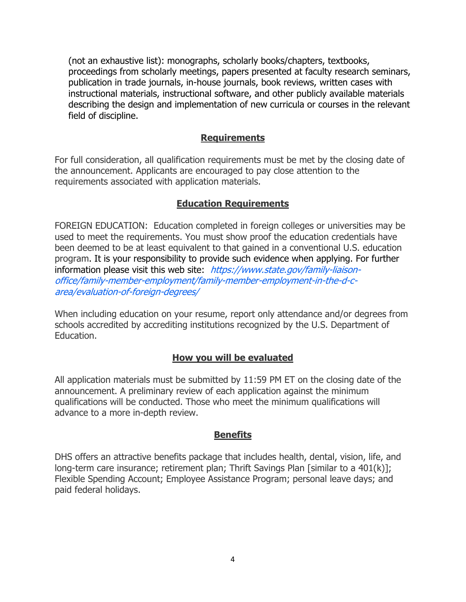(not an exhaustive list): monographs, scholarly books/chapters, textbooks, proceedings from scholarly meetings, papers presented at faculty research seminars, publication in trade journals, in-house journals, book reviews, written cases with instructional materials, instructional software, and other publicly available materials describing the design and implementation of new curricula or courses in the relevant field of discipline.

#### **Requirements**

 For full consideration, all qualification requirements must be met by the closing date of the announcement. Applicants are encouraged to pay close attention to the requirements associated with application materials.

### **Education Requirements**

 FOREIGN EDUCATION: Education completed in foreign colleges or universities may be used to meet the requirements. You must show proof the education credentials have been deemed to be at least equivalent to that gained in a conventional U.S. education program. It is your responsibility to provide such evidence when applying. For further information please visit this web site: [https://www.state.gov/family-liaison](https://www.state.gov/family-liaison-office/family-member-employment/family-member-employment-in-the-d-c-area/evaluation-of-foreign-degrees/)[office/family-member-employment/family-member-employment-in-the-d-c](https://www.state.gov/family-liaison-office/family-member-employment/family-member-employment-in-the-d-c-area/evaluation-of-foreign-degrees/)[area/evaluation-of-foreign-degrees/](https://www.state.gov/family-liaison-office/family-member-employment/family-member-employment-in-the-d-c-area/evaluation-of-foreign-degrees/) 

 When including education on your resume, report only attendance and/or degrees from schools accredited by accrediting institutions recognized by the U.S. Department of Education.

#### **How you will be evaluated**

 All application materials must be submitted by 11:59 PM ET on the closing date of the announcement. A preliminary review of each application against the minimum qualifications will be conducted. Those who meet the minimum qualifications will advance to a more in-depth review.

#### **Benefits**

 DHS offers an attractive benefits package that includes health, dental, vision, life, and long-term care insurance; retirement plan; Thrift Savings Plan [similar to a 401(k)]; Flexible Spending Account; Employee Assistance Program; personal leave days; and paid federal holidays.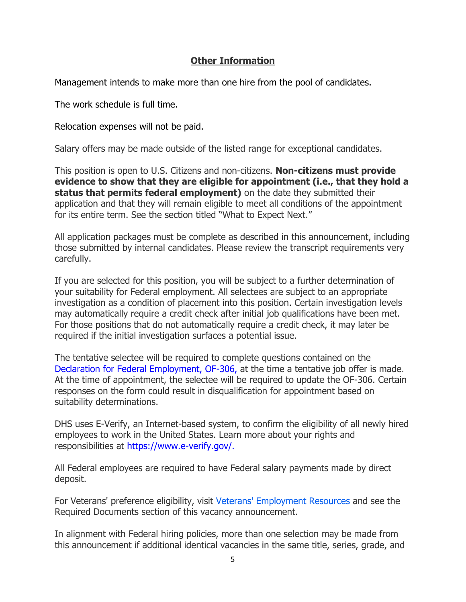### **Other Information**

Management intends to make more than one hire from the pool of candidates.

The work schedule is full time.

Relocation expenses will not be paid.

Salary offers may be made outside of the listed range for exceptional candidates.

 This position is open to U.S. Citizens and non-citizens. **Non-citizens must provide status that permits federal employment)** on the date they submitted their application and that they will remain eligible to meet all conditions of the appointment for its entire term. See the section titled "What to Expect Next." **evidence to show that they are eligible for appointment (i.e., that they hold a** 

 All application packages must be complete as described in this announcement, including those submitted by internal candidates. Please review the transcript requirements very carefully.

 If you are selected for this position, you will be subject to a further determination of your suitability for Federal employment. All selectees are subject to an appropriate investigation as a condition of placement into this position. Certain investigation levels may automatically require a credit check after initial job qualifications have been met. For those positions that do not automatically require a credit check, it may later be required if the initial investigation surfaces a potential issue.

 The tentative selectee will be required to complete questions contained on the [Declaration for Federal Employment, OF-306,](https://www.opm.gov/forms/pdf_fill/of0306.pdf) at the time a tentative job offer is made. At the time of appointment, the selectee will be required to update the OF-306. Certain responses on the form could result in disqualification for appointment based on suitability determinations.

 DHS uses E-Verify, an Internet-based system, to confirm the eligibility of all newly hired employees to work in the United States. Learn more about your rights and responsibilities at<https://www.e-verify.gov>[/.](https://www.e-verify.gov/)

 All Federal employees are required to have Federal salary payments made by direct deposit.

 For Veterans' preference eligibility, visit [Veterans' Employment Resources](https://www.fedshirevets.gov/) and see the Required Documents section of this vacancy announcement.

 In alignment with Federal hiring policies, more than one selection may be made from this announcement if additional identical vacancies in the same title, series, grade, and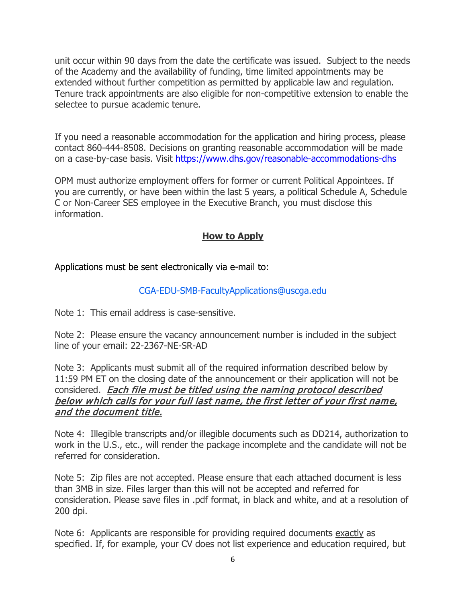unit occur within 90 days from the date the certificate was issued. Subject to the needs of the Academy and the availability of funding, time limited appointments may be extended without further competition as permitted by applicable law and regulation. Tenure track appointments are also eligible for non-competitive extension to enable the selectee to pursue academic tenure.

 If you need a reasonable accommodation for the application and hiring process, please contact 860-444-8508. Decisions on granting reasonable accommodation will be made on a case-by-case basis. Visit<https://www.dhs.gov/reasonable-accommodations-dhs>

 OPM must authorize employment offers for former or current Political Appointees. If you are currently, or have been within the last 5 years, a political Schedule A, Schedule C or Non-Career SES employee in the Executive Branch, you must disclose this information.

## **How to Apply**

Applications must be sent electronically via e-mail to:

## [CGA-EDU-SMB-FacultyApplications@uscga.edu](mailto:CGA-EDU-SMB-FacultyApplications@uscga.edu)

Note 1: This email address is case-sensitive.

 Note 2: Please ensure the vacancy announcement number is included in the subject line of your email: 22-2367-NE-SR-AD

 Note 3: Applicants must submit all of the required information described below by 11:59 PM ET on the closing date of the announcement or their application will not be considered. <u>Each file must be titled using the naming protocol described</u> below which calls for your full last name, the first letter of your first name, and the document title.

 Note 4: Illegible transcripts and/or illegible documents such as DD214, authorization to work in the U.S., etc., will render the package incomplete and the candidate will not be referred for consideration.

 Note 5: Zip files are not accepted. Please ensure that each attached document is less than 3MB in size. Files larger than this will not be accepted and referred for consideration. Please save files in .pdf format, in black and white, and at a resolution of 200 dpi.

Note 6: Applicants are responsible for providing required documents <u>exactly</u> as specified. If, for example, your CV does not list experience and education required, but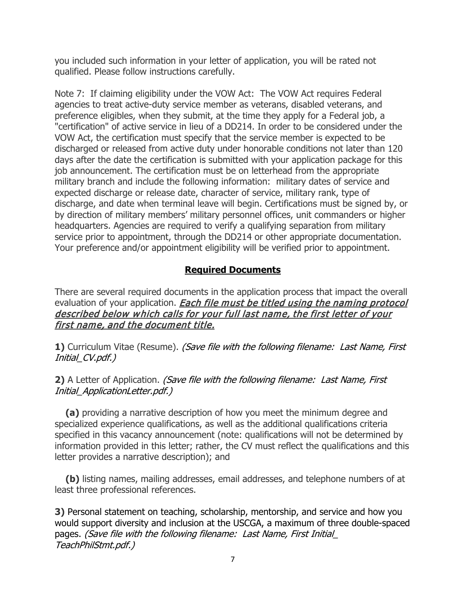you included such information in your letter of application, you will be rated not qualified. Please follow instructions carefully.

 Note 7: If claiming eligibility under the VOW Act: The VOW Act requires Federal agencies to treat active-duty service member as veterans, disabled veterans, and preference eligibles, when they submit, at the time they apply for a Federal job, a "certification" of active service in lieu of a DD214. In order to be considered under the VOW Act, the certification must specify that the service member is expected to be discharged or released from active duty under honorable conditions not later than 120 days after the date the certification is submitted with your application package for this job announcement. The certification must be on letterhead from the appropriate military branch and include the following information: military dates of service and expected discharge or release date, character of service, military rank, type of discharge, and date when terminal leave will begin. Certifications must be signed by, or by direction of military members' military personnel offices, unit commanders or higher headquarters. Agencies are required to verify a qualifying separation from military service prior to appointment, through the DD214 or other appropriate documentation. Your preference and/or appointment eligibility will be verified prior to appointment.

## **Required Documents**

 There are several required documents in the application process that impact the overall evaluation of your application. *Each file must be titled using the naming protocol*  described below which calls for your full last name, the first letter of your first name, and the document title.

**1)** Curriculum Vitae (Resume). *(Save file with the following filename: Last Name, First* Initial\_CV.pdf.)

## **2)** A Letter of Application. (Save file with the following filename: Last Name, First Initial\_ApplicationLetter.pdf.)

 specialized experience qualifications, as well as the additional qualifications criteria specified in this vacancy announcement (note: qualifications will not be determined by information provided in this letter; rather, the CV must reflect the qualifications and this letter provides a narrative description); and **(a)** providing a narrative description of how you meet the minimum degree and

 least three professional references. **(b)** listing names, mailing addresses, email addresses, and telephone numbers of at

 **3)** Personal statement on teaching, scholarship, mentorship, and service and how you would support diversity and inclusion at the USCGA, a maximum of three double-spaced pages. *(Save file with the following filename: Last Name, First Initial\_* TeachPhilStmt.pdf.)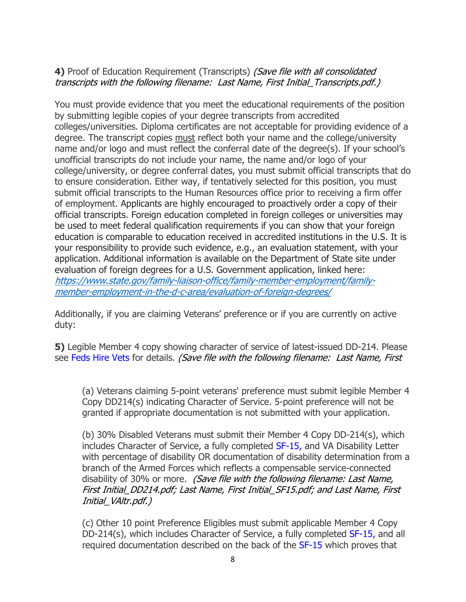### **4)** Proof of Education Requirement (Transcripts) (Save file with all consolidated transcripts with the following filename: Last Name, First Initial\_Transcripts.pdf.)

 You must provide evidence that you meet the educational requirements of the position by submitting legible copies of your degree transcripts from accredited colleges/universities. Diploma certificates are not acceptable for providing evidence of a degree. The transcript copies <u>must</u> reflect both your name and the college/university name and/or logo and must reflect the conferral date of the degree(s). If your school's unofficial transcripts do not include your name, the name and/or logo of your college/university, or degree conferral dates, you must submit official transcripts that do submit official transcripts to the Human Resources office prior to receiving a firm offer of employment. Applicants are highly encouraged to proactively order a copy of their official transcripts. Foreign education completed in foreign colleges or universities may be used to meet federal qualification requirements if you can show that your foreign education is comparable to education received in accredited institutions in the U.S. It is your responsibility to provide such evidence, e.g., an evaluation statement, with your application. Additional information is available on the Department of State site under evaluation of foreign degrees for a U.S. Government application, linked here: to ensure consideration. Either way, if tentatively selected for this position, you must [https://www.state.gov/family-liaison-office/family-member-employment/family](https://www.state.gov/family-liaison-office/family-member-employment/family-member-employment-in-the-d-c-area/evaluation-of-foreign-degrees/)[member-employment-in-the-d-c-area/evaluation-of-foreign-degrees/](https://www.state.gov/family-liaison-office/family-member-employment/family-member-employment-in-the-d-c-area/evaluation-of-foreign-degrees/) 

 Additionally, if you are claiming Veterans' preference or if you are currently on active duty:

 **5)** Legible Member 4 copy showing character of service of latest-issued DD-214. Please see <del>Feds Hire Vets</del> for details. *(Save file with the following filename: Last Name, First* 

 (a) Veterans claiming 5-point veterans' preference must submit legible Member 4 Copy DD214(s) indicating Character of Service. 5-point preference will not be granted if appropriate documentation is not submitted with your application.

 (b) 30% Disabled Veterans must submit their Member 4 Copy DD-214(s), which includes Character of Service, a fully completed [SF-15,](https://www.opm.gov/forms/pdf_fill/sf15.pdf) and VA Disability Letter with percentage of disability OR documentation of disability determination from a branch of the Armed Forces which reflects a compensable service-connected disability of 30% or more. *(Save file with the following filename: Last Name,*  First Initial\_DD214.pdf; Last Name, First Initial\_SF15.pdf; and Last Name, First Initial\_VAltr.pdf.)

 (c) Other 10 point Preference Eligibles must submit applicable Member 4 Copy DD-214(s), which includes Character of Service, a fully completed [SF-15,](https://www.opm.gov/forms/pdf_fill/sf15.pdf) and all required documentation described on the back of the [SF-15](https://www.opm.gov/forms/pdf_fill/sf15.pdf) which proves that